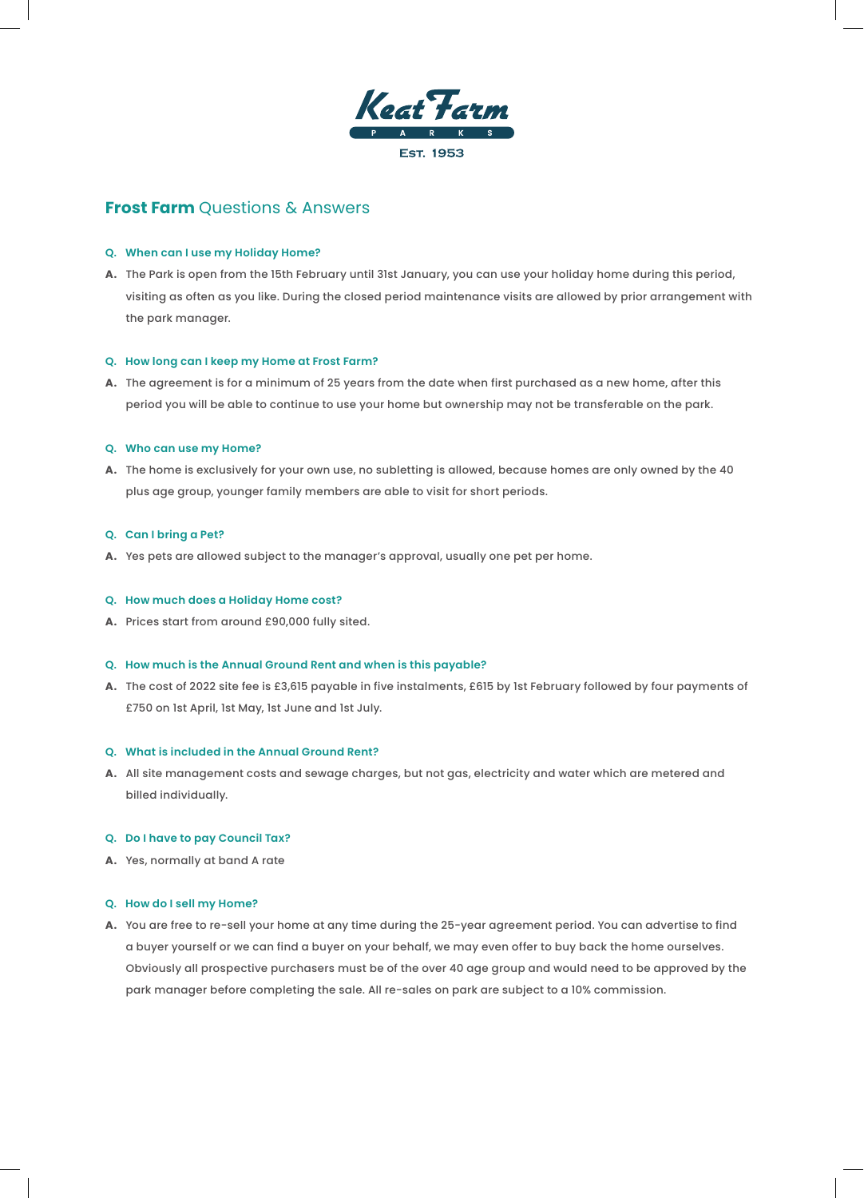

# **Frost Farm** Questions & Answers

## **Q. When can I use my Holiday Home?**

**A.** The Park is open from the 15th February until 31st January, you can use your holiday home during this period, visiting as often as you like. During the closed period maintenance visits are allowed by prior arrangement with the park manager.

## **Q. How long can I keep my Home at Frost Farm?**

**A.** The agreement is for a minimum of 25 years from the date when first purchased as a new home, after this period you will be able to continue to use your home but ownership may not be transferable on the park.

## **Q. Who can use my Home?**

**A.** The home is exclusively for your own use, no subletting is allowed, because homes are only owned by the 40 plus age group, younger family members are able to visit for short periods.

## **Q. Can I bring a Pet?**

**A.** Yes pets are allowed subject to the manager's approval, usually one pet per home.

## **Q. How much does a Holiday Home cost?**

**A.** Prices start from around £90,000 fully sited.

## **Q. How much is the Annual Ground Rent and when is this payable?**

**A.** The cost of 2022 site fee is £3,615 payable in five instalments, £615 by 1st February followed by four payments of £750 on 1st April, 1st May, 1st June and 1st July.

## **Q. What is included in the Annual Ground Rent?**

**A.** All site management costs and sewage charges, but not gas, electricity and water which are metered and billed individually.

# **Q. Do I have to pay Council Tax?**

**A.** Yes, normally at band A rate

## **Q. How do I sell my Home?**

**A.** You are free to re-sell your home at any time during the 25-year agreement period. You can advertise to find a buyer yourself or we can find a buyer on your behalf, we may even offer to buy back the home ourselves. Obviously all prospective purchasers must be of the over 40 age group and would need to be approved by the park manager before completing the sale. All re-sales on park are subject to a 10% commission.